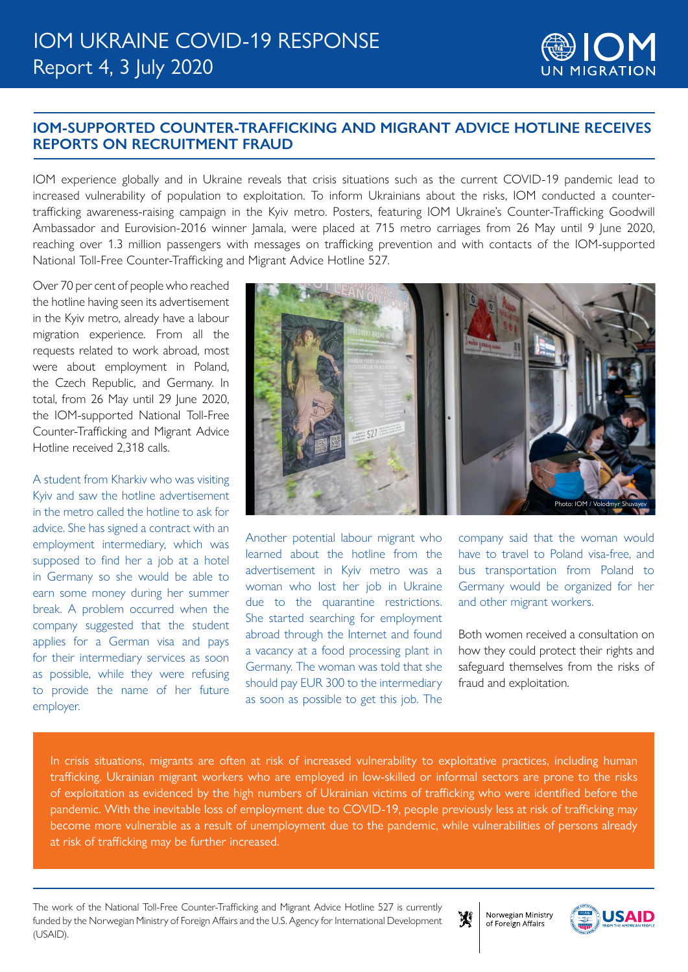

## **IOM-SUPPORTED COUNTER-TRAFFICKING AND MIGRANT ADVICE HOTLINE RECEIVES REPORTS ON RECRUITMENT FRAUD**

IOM experience globally and in Ukraine reveals that crisis situations such as the current COVID-19 pandemic lead to increased vulnerability of population to exploitation. To inform Ukrainians about the risks, IOM conducted a countertrafficking awareness-raising campaign in the Kyiv metro. Posters, featuring IOM Ukraine's Counter-Trafficking Goodwill Ambassador and Eurovision-2016 winner Jamala, were placed at 715 metro carriages from 26 May until 9 June 2020, reaching over 1.3 million passengers with messages on trafficking prevention and with contacts of the IOM-supported National Toll-Free Counter-Trafficking and Migrant Advice Hotline 527.

Over 70 per cent of people who reached the hotline having seen its advertisement in the Kyiv metro, already have a labour migration experience. From all the requests related to work abroad, most were about employment in Poland, the Czech Republic, and Germany. In total, from 26 May until 29 June 2020, the IOM-supported National Toll-Free Counter-Trafficking and Migrant Advice Hotline received 2,318 calls.

## A student from Kharkiv who was visiting Kyiv and saw the hotline advertisement

in the metro called the hotline to ask for advice. She has signed a contract with an employment intermediary, which was supposed to find her a job at a hotel in Germany so she would be able to earn some money during her summer break. A problem occurred when the company suggested that the student applies for a German visa and pays for their intermediary services as soon as possible, while they were refusing to provide the name of her future employer.



Another potential labour migrant who learned about the hotline from the advertisement in Kyiv metro was a woman who lost her job in Ukraine due to the quarantine restrictions. She started searching for employment abroad through the Internet and found a vacancy at a food processing plant in Germany. The woman was told that she should pay EUR 300 to the intermediary as soon as possible to get this job. The

company said that the woman would have to travel to Poland visa-free, and bus transportation from Poland to Germany would be organized for her and other migrant workers.

Both women received a consultation on how they could protect their rights and safeguard themselves from the risks of fraud and exploitation.

In crisis situations, migrants are often at risk of increased vulnerability to exploitative practices, including human trafficking. Ukrainian migrant workers who are employed in low-skilled or informal sectors are prone to the risks of exploitation as evidenced by the high numbers of Ukrainian victims of trafficking who were identified before the pandemic. With the inevitable loss of employment due to COVID-19, people previously less at risk of trafficking may become more vulnerable as a result of unemployment due to the pandemic, while vulnerabilities of persons already at risk of trafficking may be further increased.

The work of the National Toll-Free Counter-Trafficking and Migrant Advice Hotline 527 is currently funded by the Norwegian Ministry of Foreign Affairs and the U.S. Agency for International Development (USAID).